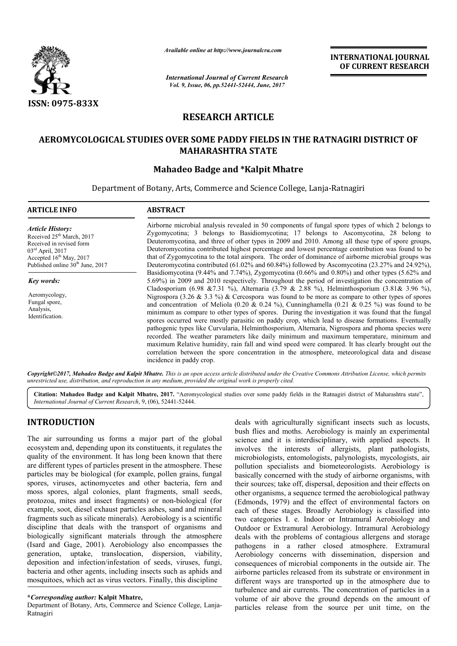

*Available online at http://www.journal http://www.journalcra.com*

*International Journal of Current Research Vol. 9, Issue, 06, pp.52441-52444, June, 2017*

**INTERNATIONAL JOURNAL OF CURRENT RESEARCH** 

# **RESEARCH ARTICLE**

# **AEROMYCOLOGICAL STUDIES OVER SOME PADDY IES FIELDS IN THE RATNAG RATNAGIRI DISTRICT OF MAHARASHTRA STATE**

# **Mahadeo Badge and \*Kalpit Mhatre**

Department of Botany, Arts, Commerce and Science College, Lanja-Ratnagiri

| <b>ARTICLE INFO</b>                                                                                                                                                                             | <b>ABSTRACT</b>                                                                                                                                                                                                                                                                                                                                                                                                                                                                                                                                                                                                                                                                                                                                                                                                                                                                                                                               |
|-------------------------------------------------------------------------------------------------------------------------------------------------------------------------------------------------|-----------------------------------------------------------------------------------------------------------------------------------------------------------------------------------------------------------------------------------------------------------------------------------------------------------------------------------------------------------------------------------------------------------------------------------------------------------------------------------------------------------------------------------------------------------------------------------------------------------------------------------------------------------------------------------------------------------------------------------------------------------------------------------------------------------------------------------------------------------------------------------------------------------------------------------------------|
| <b>Article History:</b><br>Received 25 <sup>th</sup> March, 2017<br>Received in revised form<br>$03rd$ April, 2017<br>Accepted $16th$ May, 2017<br>Published online 30 <sup>th</sup> June, 2017 | Airborne microbial analysis revealed in 50 components of fungal spore types of which 2 belongs to<br>Zygomycotina; 3 belongs to Basidiomycotina; 17 belongs to Ascomycotina, 28 belong to<br>Deuteromycotina, and three of other types in 2009 and 2010. Among all these type of spore groups,<br>Deuteromycotina contributed highest percentage and lowest percentage contribution was found to be<br>that of Zygomycotina to the total airspora. The order of dominance of airborne microbial groups was<br>Deuteromycotina contributed $(61.02\%$ and $60.84\%)$ followed by Ascomycotina $(23.27\%$ and $24.92\%)$ .                                                                                                                                                                                                                                                                                                                      |
| Key words:                                                                                                                                                                                      | Basidiomycotina (9.44% and 7.74%), Zygomycotina (0.66% and 0.80%) and other types (5.62% and<br>5.69%) in 2009 and 2010 respectively. Throughout the period of investigation the concentration of                                                                                                                                                                                                                                                                                                                                                                                                                                                                                                                                                                                                                                                                                                                                             |
| Aeromycology,<br>Fungal spore,<br>Analysis,<br>Identification.                                                                                                                                  | Cladosporium (6.98 & 7.31 %), Alternaria (3.79 & 2.88 %), Helminthosporium (3.81 & 3.96 %),<br>Nigrospora (3.26 & 3.3 %) & Cercospora was found to be more as compare to other types of spores<br>and concentration of Meliola (0.20 & 0.24 %), Cunninghamella (0.21 & 0.25 %) was found to be<br>minimum as compare to other types of spores. During the investigation it was found that the fungal<br>spores occurred were mostly parasitic on paddy crop, which lead to disease formations. Eventually<br>pathogenic types like Curvularia, Helminthosporium, Alternaria, Nigrospora and phoma species were<br>recorded. The weather parameters like daily minimum and maximum temperature, minimum and<br>maximum Relative humidity, rain fall and wind speed were compared. It has clearly brought out the<br>correlation between the spore concentration in the atmosphere, meteorological data and disease<br>incidence in paddy crop. |

Copyright©2017, Mahadeo Badge and Kalpit Mhatre. This is an open access article distributed under the Creative Commons Attribution License, which permits *unrestricted use, distribution, and reproduction in any medium, provided the original work is properly cited.*

Citation: Mahadeo Badge and Kalpit Mhatre, 2017. "Aeromycological studies over some paddy fields in the Ratnagiri district of Maharashtra state", *International Journal of Current Research*, 9, (06), 52441 52441-52444.

## **INTRODUCTION**

The air surrounding us forms a major part of the global ecosystem and, depending upon its constituents, it regulates the quality of the environment. It has long been known that there are different types of particles present in the atmosphere. These particles may be biological (for example, pollen grains, fungal spores, viruses, actinomycetes and other bacteria, fern and moss spores, algal colonies, plant fragments, small seeds, protozoa, mites and insect fragments) or non-biological (for example, soot, diesel exhaust particles ashes, sand and mineral fragments such as silicate minerals). Aerobiology is a scientific discipline that deals with the transport of organisms and biologically significant materials through the atmosphere (Isard and Gage, 2001). Aerobiology also encompasses the generation, uptake, translocation, dispersion, viability, deposition and infection/infestation of seeds, viruses, fungi, bacteria and other agents, including insects such as aphids and mosquitoes, which act as virus vectors. Finally, this discipline cant materials<br>
001). Aerobiolo<br>
e, translocation<br>
cction/infestation

#### **\****Corresponding author:* **Kalpit Mhatre,**

Department of Botany, Arts, Commerce and Science College, Lanja-Ratnagiri

deals with agriculturally significant insects such as locusts, bush flies and moths. Aerobiology is mainly an experimental science and it is interdisciplinary, with applied aspects. It involves the interests of allergists, plant pathologists, microbiologists, entomologists, palynologists, mycologists, air pollution specialists and biometeorologists. Aerobiology is basically concerned with the study of airborne organisms, with their sources; take off, dispersal, deposition and their effect other organisms, a sequence termed the aerobiological pathway (Edmonds, 1979) and the effect of environmental factors on each of these stages. Broadly Aerobiology is classified into two categories I. e. Indoor or Intramural Aerobiology and Outdoor or Extramural Aerobiology. Intramural Aerobiology deals with the problems of contagious allergens and storage pathogens in a rather closed atmosphere. Extramural Aerobiology concerns with dissemination, dispersion and consequences of microbial components in the outside air. The airborne particles released from its substrate or environment in different ways are transported up in the atmosphere due to turbulence and air currents. The concentration of particles in a different ways are transported up in the atmosphere due to turbulence and air currents. The concentration of particles in a volume of air above the ground depends on the amount of particles release from the source per unit time, on the noths. Aerobiology is mainly an experimental<br>is interdisciplinary, with applied aspects. It<br>interests of allergists, plant pathologists, and biometeorologists. Aerobiology is<br>ith the study of airborne organisms, with<br>dispersal, deposition and their effects on (Edmonds, 1979) and the effect of environmental factors on each of these stages. Broadly Aerobiology is classified into two categories I. e. Indoor or Intramural Aerobiology and Outdoor or Extramural Aerobiology. Intramura TONAL JOURNAL<br>
RENT RESEARCH<br>
RENT RESEARCH<br>
RENT RESEARCH<br>
TRENT RESEARCH<br>
type of spore groups to<br>
type of spore groups was<br>
type of spore groups was<br>
cutution was found to be microbial groups was<br>
(23.27% and 24.92%) an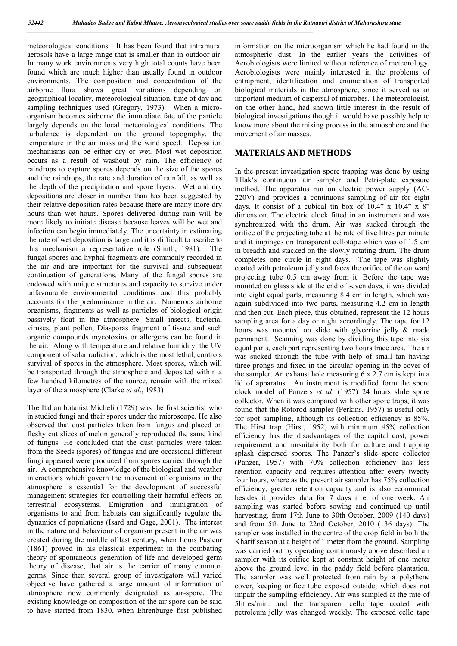meteorological conditions. It has been found that intramural aerosols have a large range that is smaller than in outdoor air. In many work environments very high total counts have been found which are much higher than usually found in outdoor environments. The composition and concentration of the airborne flora shows great variations depending on geographical locality, meteorological situation, time of day and sampling techniques used (Gregory, 1973). When a microorganism becomes airborne the immediate fate of the particle largely depends on the local meteorological conditions. The turbulence is dependent on the ground topography, the temperature in the air mass and the wind speed. Deposition mechanisms can be either dry or wet. Most wet deposition occurs as a result of washout by rain. The efficiency of raindrops to capture spores depends on the size of the spores and the raindrops, the rate and duration of rainfall, as well as the depth of the precipitation and spore layers. Wet and dry depositions are closer in number than has been suggested by their relative deposition rates because there are many more dry hours than wet hours. Spores delivered during rain will be more likely to initiate disease because leaves will be wet and infection can begin immediately. The uncertainty in estimating the rate of wet deposition is large and it is difficult to ascribe to this mechanism a representative role (Smith, 1981). The fungal spores and hyphal fragments are commonly recorded in the air and are important for the survival and subsequent continuation of generations. Many of the fungal spores are endowed with unique structures and capacity to survive under unfavourable environmental conditions and this probably accounts for the predominance in the air. Numerous airborne organisms, fragments as well as particles of biological origin passively float in the atmosphere. Small insects, bacteria, viruses, plant pollen, Diasporas fragment of tissue and such organic compounds mycotoxins or allergens can be found in the air. Along with temperature and relative humidity, the UV component of solar radiation, which is the most lethal, controls survival of spores in the atmosphere. Most spores, which will be transported through the atmosphere and deposited within a few hundred kilometres of the source, remain with the mixed layer of the atmosphere (Clarke *et al*., 1983)

The Italian botanist Micheli (1729) was the first scientist who in studied fungi and their spores under the microscope. He also observed that dust particles taken from fungus and placed on fleshy cut slices of melon generally reproduced the same kind of fungus. He concluded that the dust particles were taken from the Seeds (spores) of fungus and are occasional different fungi appeared were produced from spores carried through the air. A comprehensive knowledge of the biological and weather interactions which govern the movement of organisms in the atmosphere is essential for the development of successful management strategies for controlling their harmful effects on terrestrial ecosystems. Emigration and immigration of organisms to and from habitats can significantly regulate the dynamics of populations (Isard and Gage, 2001). The interest in the nature and behaviour of organism present in the air was created during the middle of last century, when Louis Pasteur (1861) proved in his classical experiment in the combating theory of spontaneous generation of life and developed germ theory of disease, that air is the carrier of many common germs. Since then several group of investigators will varied objective have gathered a large amount of information of atmosphere now commonly designated as air-spore. The existing knowledge on composition of the air spore can be said to have started from 1830, when Ehrenburge first published

information on the microorganism which he had found in the atmospheric dust. In the earlier years the activities of Aerobiologists were limited without reference of meteorology. Aerobiologists were mainly interested in the problems of entrapment, identification and enumeration of transported biological materials in the atmosphere, since it served as an important medium of dispersal of microbes. The meteorologist, on the other hand, had shown little interest in the result of biological investigations though it would have possibly help to know more about the mixing process in the atmosphere and the movement of air masses.

#### **MATERIALS AND METHODS**

In the present investigation spore trapping was done by using TIlak's continuous air sampler and Petri-plate exposure method. The apparatus run on electric power supply (AC-220V) and provides a continuous sampling of air for eight days. It consist of a cubical tin box of  $10.4$ " x  $10.4$ " x  $8$ " dimension. The electric clock fitted in an instrument and was synchronized with the drum. Air was sucked through the orifice of the projecting tube at the rate of five litres per minute and it impinges on transparent cellotape which was of 1.5 cm in breadth and stacked on the slowly rotating drum. The drum completes one circle in eight days. The tape was slightly coated with petroleum jelly and faces the orifice of the outward projecting tube 0.5 cm away from it. Before the tape was mounted on glass slide at the end of seven days, it was divided into eight equal parts, measuring 8.4 cm in length, which was again subdivided into two parts, measuring 4.2 cm in length and then cut. Each piece, thus obtained, represent the 12 hours sampling area for a day or night accordingly. The tape for 12 hours was mounted on slide with glycerine jelly & made permanent. Scanning was done by dividing this tape into six equal parts, each part representing two hours trace area. The air was sucked through the tube with help of small fan having three prongs and fixed in the circular opening in the cover of the sampler. An exhaust hole measuring 6 x 2.7 cm is kept in a lid of apparatus. An instrument is modified form the spore clock model of Panzers *et al*. (1957) 24 hours slide spore collector. When it was compared with other spore traps, it was found that the Rotorod sampler (Perkins, 1957) is useful only for spot sampling, although its collection efficiency is 85%. The Hirst trap (Hirst, 1952) with minimum 45% collection efficiency has the disadvantages of the capital cost, power requirement and unsuitability both for culture and trapping splash dispersed spores. The Panzer's slide spore collector (Panzer, 1957) with 70% collection efficiency has less retention capacity and requires attention after every twenty four hours, where as the present air sampler has 75% collection efficiency, greater retention capacity and is also economical besides it provides data for 7 days i. e. of one week. Air sampling was started before sowing and continued up until harvesting. from 17th June to 30th October, 2009 (140 days) and from 5th June to 22nd October, 2010 (136 days). The sampler was installed in the centre of the crop field in both the Kharif season at a height of 1 meter from the ground. Sampling was carried out by operating continuously above described air sampler with its orifice kept at constant height of one meter above the ground level in the paddy field before plantation. The sampler was well protected from rain by a polythene cover, keeping orifice tube exposed outside, which does not impair the sampling efficiency. Air was sampled at the rate of 5litres/min. and the transparent cello tape coated with petroleum jelly was changed weekly. The exposed cello tape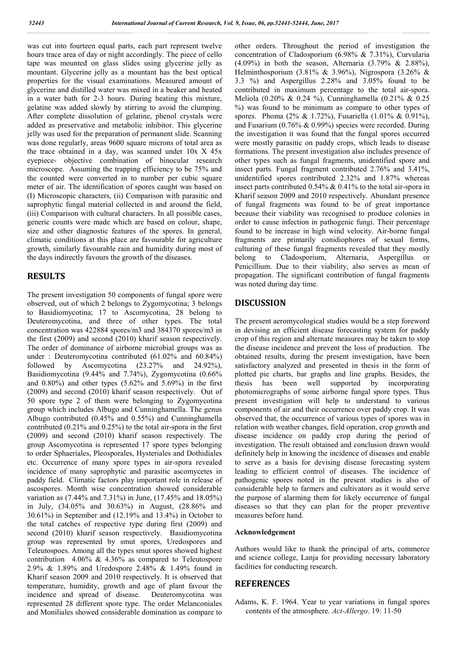was cut into fourteen equal parts, each part represent twelve hours trace area of day or night accordingly. The piece of cello tape was mounted on glass slides using glycerine jelly as mountant. Glycerine jelly as a mountant has the best optical properties for the visual examinations. Measured amount of glycerine and distilled water was mixed in a beaker and heated in a water bath for 2-3 hours. During heating this mixture, gelatine was added slowly by stirring to avoid the clumping. After complete dissolution of gelatine, phenol crystals were added as preservative and metabolic inhibitor. This glycerine jelly was used for the preparation of permanent slide. Scanning was done regularly, areas 9600 square microns of total area as the trace obtained in a day, was scanned under 10x X 45x eyepiece- objective combination of binocular research microscope. Assuming the trapping efficiency to be 75% and the counted were converted in to number per cubic square meter of air. The identification of spores caught was based on (I) Microscopic characters, (ii) Comparison with parasitic and saprophytic fungal material collected in and around the field, (iii) Comparison with cultural characters. In all possible cases, generic counts were made which are based on colour, shape, size and other diagnostic features of the spores. In general, climatic conditions at this place are favourable for agriculture growth, similarly favourable rain and humidity during most of the days indirectly favours the growth of the diseases.

### **RESULTS**

The present investigation 50 components of fungal spore were observed, out of which 2 belongs to Zygomycotina; 3 belongs to Basidiomycotina; 17 to Ascomycotina, 28 belong to Deuteromycotina, and three of other types. The total concentration was 422884 spores/m3 and 384370 spores/m3 in the first (2009) and second (2010) kharif season respectively. The order of dominance of airborne microbial groups was as under : Deuteromycotina contributed (61.02% and 60.84%) followed by Ascomycotina (23.27% and 24.92%), Basidiomycotina (9.44% and 7.74%), Zygomycotina (0.66% and  $0.80\%$ ) and other types  $(5.62\%$  and  $5.69\%)$  in the first (2009) and second (2010) kharif season respectively. Out of 50 spore type 2 of them were belonging to Zygomycotina group which includes Albugo and Cunninghamella. The genus Albugo contributed (0.45% and 0.55%) and Cunninghamella contributed (0.21% and 0.25%) to the total air-spora in the first (2009) and second (2010) kharif season respectively. The group Ascomycotina is represented 17 spore types belonging to order Sphaeriales, Pleosporales, Hysteriales and Dothidiales etc. Occurrence of many spore types in air-spora revealed incidence of many saprophytic and parasitic ascomycetes in paddy field. Climatic factors play important role in release of ascospores. Month wise concentration showed considerable variation as (7.44% and 7.31%) in June, (17.45% and 18.05%) in July, (34.05% and 30.63%) in August, (28.86% and 30.61%) in September and (12.19% and 13.4%) in October to the total catches of respective type during first (2009) and second (2010) kharif season respectively. Basidiomycotina group was represented by smut spores, Uredospores and Teleutospoes. Among all the types smut spores showed highest contribution 4.06%  $\&$  4.36% as compared to Teleutospore 2.9% & 1.89% and Uredospore 2.48% & 1.49% found in Kharif season 2009 and 2010 respectively. It is observed that temperature, humidity, growth and age of plant favour the incidence and spread of disease. Deuteromycotina was represented 28 different spore type. The order Melanconiales and Moniliales showed considerable domination as compare to

other orders. Throughout the period of investigation the concentration of Cladosporium (6.98% & 7.31%), Curvularia (4.09%) in both the season, Alternaria (3.79% & 2.88%), Helminthosporium (3.81% & 3.96%), Nigrospora (3.26% & 3.3 %) and Aspergillus 2.28% and 3.05% found to be contributed in maximum percentage to the total air-spora. Meliola (0.20% & 0.24 %), Cunninghamella (0.21% & 0.25 %) was found to be minimum as compare to other types of spores. Phoma (2% & 1.72%), Fusariella (1.01% & 0.91%), and Fusarium (0.76% & 0.99%) species were recorded. During the investigation it was found that the fungal spores occurred were mostly parasitic on paddy crops, which leads to disease formations. The present investigation also includes presence of other types such as fungal fragments, unidentified spore and insect parts. Fungal fragment contributed 2.76% and 3.41%, unidentified spores contributed 2.32% and 1.87% whereas insect parts contributed 0.54% & 0.41% to the total air-spora in Kharif season 2009 and 2010 respectively. Abundant presence of fungal fragments was found to be of great importance because their viability was recognised to produce colonies in order to cause infection in pathogenic fungi. Their percentage found to be increase in high wind velocity. Air-borne fungal fragments are primarily conidiophores of sexual forms, culturing of these fungal fragments revealed that they mostly belong to Cladosporium, Alternaria, Aspergillus or Penicillium. Due to their viability, also serves as mean of propagation. The significant contribution of fungal fragments was noted during day time.

## **DISCUSSION**

The present aeromycological studies would be a step foreword in devising an efficient disease forecasting system for paddy crop of this region and alternate measures may be taken to stop the disease incidence and prevent the loss of production. The obtained results, during the present investigation, have been satisfactory analyzed and presented in thesis in the form of plotted pie charts, bar graphs and line graphs. Besides, the thesis has been well supported by incorporating photomicrographs of some airborne fungal spore types. Thus present investigation will help to understand to various components of air and their occurrence over paddy crop. It was observed that, the occurrence of various types of spores was in relation with weather changes, field operation, crop growth and disease incidence on paddy crop during the period of investigation. The result obtained and conclusion drawn would definitely help in knowing the incidence of diseases and enable to serve as a basis for devising disease forecasting system leading to efficient control of diseases. The incidence of pathogenic spores noted in the present studies is also of considerable help to farmers and cultivators as it would serve the purpose of alarming them for likely occurrence of fungal diseases so that they can plan for the proper preventive measures before hand.

#### **Acknowledgement**

Authors would like to thank the principal of arts, commerce and science college, Lanja for providing necessary laboratory facilities for conducting research.

### **REFERENCES**

Adams, K. F. 1964. Year to year variations in fungal spores contents of the atmosphere. *Act-Allergo*. 19: 11-50